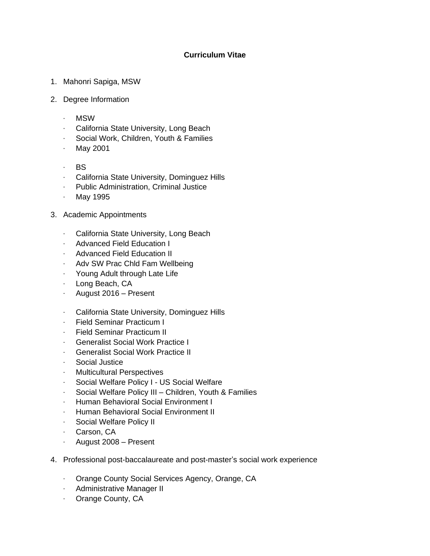## **Curriculum Vitae**

- 1. Mahonri Sapiga, MSW
- 2. Degree Information
	- · MSW
	- · California State University, Long Beach
	- · Social Work, Children, Youth & Families
	- · May 2001
	- · BS
	- · California State University, Dominguez Hills
	- · Public Administration, Criminal Justice
	- · May 1995
- 3. Academic Appointments
	- · California State University, Long Beach
	- · Advanced Field Education I
	- · Advanced Field Education II
	- · Adv SW Prac Chld Fam Wellbeing
	- · Young Adult through Late Life
	- · Long Beach, CA
	- · August 2016 Present
	- · California State University, Dominguez Hills
	- · Field Seminar Practicum I
	- · Field Seminar Practicum II
	- · Generalist Social Work Practice I
	- **Generalist Social Work Practice II**
	- · Social Justice
	- · Multicultural Perspectives
	- · Social Welfare Policy I US Social Welfare
	- · Social Welfare Policy III Children, Youth & Families
	- · Human Behavioral Social Environment I
	- · Human Behavioral Social Environment II
	- · Social Welfare Policy II
	- · Carson, CA
	- · August 2008 Present
- 4. Professional post-baccalaureate and post-master's social work experience
	- · Orange County Social Services Agency, Orange, CA
	- · Administrative Manager II
	- · Orange County, CA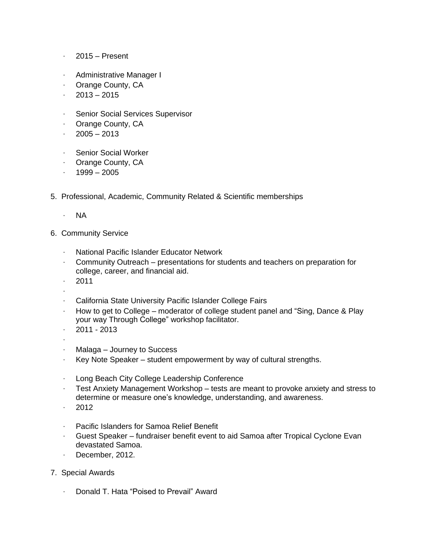- $\cdot$  2015 Present
- · Administrative Manager I
- · Orange County, CA
- $\cdot$  2013 2015
- · Senior Social Services Supervisor
- · Orange County, CA
- $\cdot$  2005 2013
- · Senior Social Worker
- · Orange County, CA
- $\cdot$  1999 2005
- 5. Professional, Academic, Community Related & Scientific memberships
	- · NA
- 6. Community Service
	- · National Pacific Islander Educator Network
	- · Community Outreach presentations for students and teachers on preparation for college, career, and financial aid.
	- $\cdot$  2011
	- ·
	- California State University Pacific Islander College Fairs
	- $\cdot$  How to get to College moderator of college student panel and "Sing, Dance & Play your way Through College" workshop facilitator.
	- $\cdot$  2011 2013
	- ·
	- $\cdot$  Malaga Journey to Success
	- $\cdot$  Key Note Speaker student empowerment by way of cultural strengths.
	- · Long Beach City College Leadership Conference
	- $\cdot$  Test Anxiety Management Workshop tests are meant to provoke anxiety and stress to determine or measure one's knowledge, understanding, and awareness.
	- $\cdot$  2012
	- · Pacific Islanders for Samoa Relief Benefit
	- · Guest Speaker fundraiser benefit event to aid Samoa after Tropical Cyclone Evan devastated Samoa.
	- · December, 2012.
- 7. Special Awards
	- · Donald T. Hata "Poised to Prevail" Award